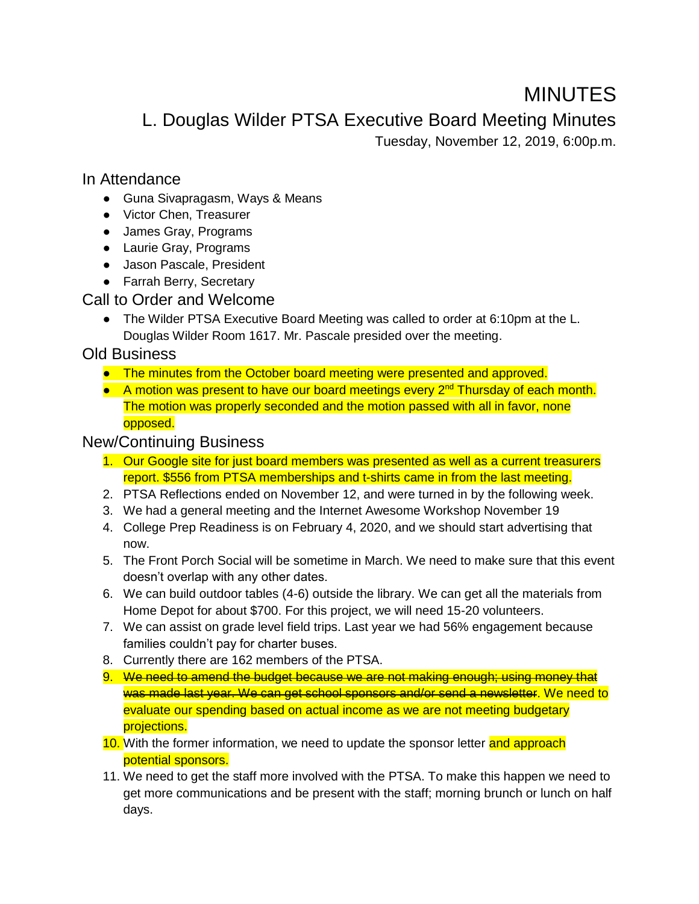# MINUTES

L. Douglas Wilder PTSA Executive Board Meeting Minutes

Tuesday, November 12, 2019, 6:00p.m.

#### In Attendance

- Guna Sivapragasm, Ways & Means
- Victor Chen, Treasurer
- James Gray, Programs
- Laurie Gray, Programs
- Jason Pascale, President
- Farrah Berry, Secretary

#### Call to Order and Welcome

● The Wilder PTSA Executive Board Meeting was called to order at 6:10pm at the L. Douglas Wilder Room 1617. Mr. Pascale presided over the meeting.

### Old Business

- The minutes from the October board meeting were presented and approved.
- A motion was present to have our board meetings every 2<sup>nd</sup> Thursday of each month. The motion was properly seconded and the motion passed with all in favor, none opposed.

## New/Continuing Business

- 1. Our Google site for just board members was presented as well as a current treasurers report. \$556 from PTSA memberships and t-shirts came in from the last meeting.
- 2. PTSA Reflections ended on November 12, and were turned in by the following week.
- 3. We had a general meeting and the Internet Awesome Workshop November 19
- 4. College Prep Readiness is on February 4, 2020, and we should start advertising that now.
- 5. The Front Porch Social will be sometime in March. We need to make sure that this event doesn't overlap with any other dates.
- 6. We can build outdoor tables (4-6) outside the library. We can get all the materials from Home Depot for about \$700. For this project, we will need 15-20 volunteers.
- 7. We can assist on grade level field trips. Last year we had 56% engagement because families couldn't pay for charter buses.
- 8. Currently there are 162 members of the PTSA.
- 9. We need to amend the budget because we are not making enough; using money that was made last year. We can get school sponsors and/or send a newsletter. We need to evaluate our spending based on actual income as we are not meeting budgetary projections.
- 10. With the former information, we need to update the sponsor letter and approach potential sponsors.
- 11. We need to get the staff more involved with the PTSA. To make this happen we need to get more communications and be present with the staff; morning brunch or lunch on half days.